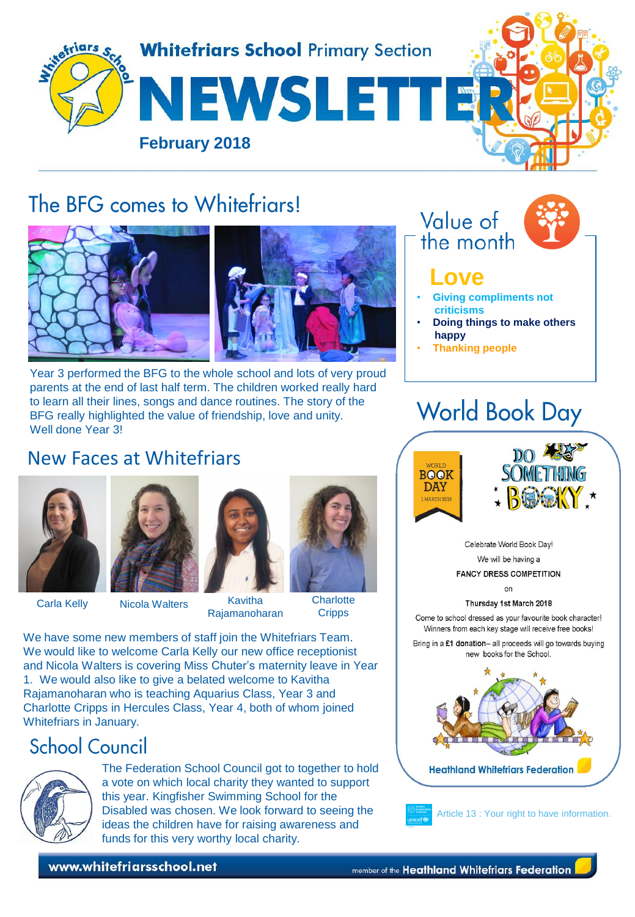

# The BFG comes to Whitefriars!



Year 3 performed the BFG to the whole school and lots of very proud parents at the end of last half term. The children worked really hard to learn all their lines, songs and dance routines. The story of the BFG really highlighted the value of friendship, love and unity. Well done Year 3!

### New Faces at Whitefriars





Carla Kelly Nicola Walters Kavitha Rajamanoharan



**Charlotte Cripps** 

We have some new members of staff join the Whitefriars Team. We would like to welcome Carla Kelly our new office receptionist and Nicola Walters is covering Miss Chuter's maternity leave in Year 1. We would also like to give a belated welcome to Kavitha Rajamanoharan who is teaching Aquarius Class, Year 3 and Charlotte Cripps in Hercules Class, Year 4, both of whom joined Whitefriars in January.

# **School Council**



The Federation School Council got to together to hold a vote on which local charity they wanted to support this year. Kingfisher Swimming School for the Disabled was chosen. We look forward to seeing the ideas the children have for raising awareness and funds for this very worthy local charity.

www.whitefriarsschool.net





### **Love**

- **Giving compliments not criticisms**
- **Doing things to make others happy**
- **Thanking people**

# **World Book Day**





Celebrate World Book Day! We will be having a **FANCY DRESS COMPETITION** 

 $\cap$ 

Thursday 1st March 2018

Come to school dressed as your favourite book character! Winners from each key stage will receive free books!

Bring in a £1 donation- all proceeds will go towards buying new books for the School.





Article 13 : Your right to have information.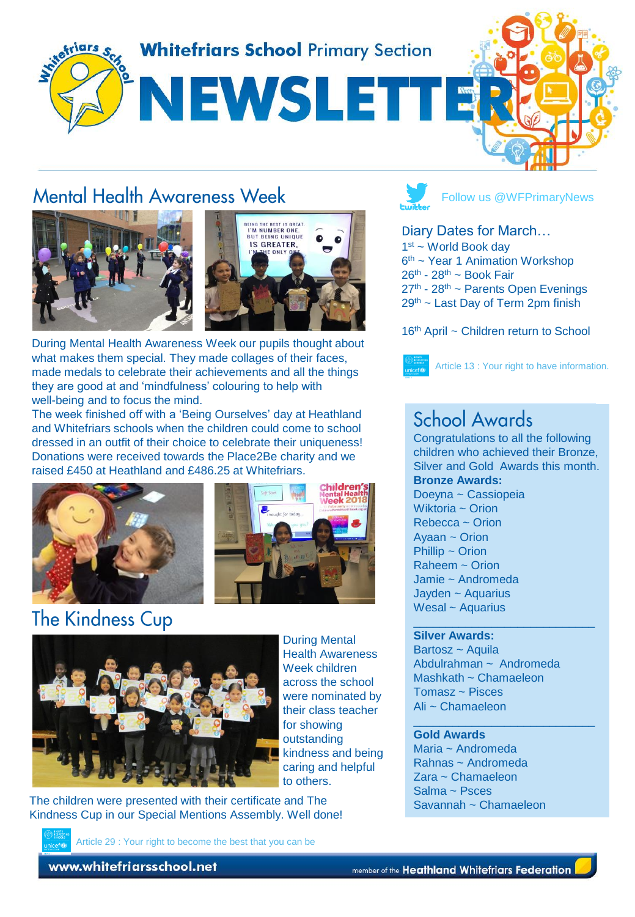

### **Mental Health Awareness Week**





During Mental Health Awareness Week our pupils thought about what makes them special. They made collages of their faces, made medals to celebrate their achievements and all the things they are good at and 'mindfulness' colouring to help with well-being and to focus the mind.

The week finished off with a 'Being Ourselves' day at Heathland and Whitefriars schools when the children could come to school dressed in an outfit of their choice to celebrate their uniqueness! Donations were received towards the Place2Be charity and we raised £450 at Heathland and £486.25 at Whitefriars.





# **The Kindness Cup**



During Mental Health Awareness Week children across the school were nominated by their class teacher for showing outstanding kindness and being caring and helpful to others.

The children were presented with their certificate and The Kindness Cup in our Special Mentions Assembly. Well done!

Article 29 : Your right to become the best that you can be

Follow us @WFPrimaryNews

#### Diary Dates for March…

1st ~ World Book day 6<sup>th</sup> ~ Year 1 Animation Workshop  $26<sup>th</sup> - 28<sup>th</sup> - Book Fair$ 27<sup>th</sup> - 28<sup>th</sup> ~ Parents Open Evenings 29th ~ Last Day of Term 2pm finish

#### 16<sup>th</sup> April ~ Children return to School



Article 13 : Your right to have information.

### School Awards

Congratulations to all the following children who achieved their Bronze, Silver and Gold Awards this month. **Bronze Awards:** Doeyna ~ Cassiopeia Wiktoria ~ Orion Rebecca ~ Orion Ayaan ~ Orion Phillip ~ Orion Raheem ~ Orion Jamie ~ Andromeda Jayden ~ Aquarius Wesal ~ Aquarius

\_\_\_\_\_\_\_\_\_\_\_\_\_\_\_\_\_\_\_\_\_\_\_\_\_\_\_\_

\_\_\_\_\_\_\_\_\_\_\_\_\_\_\_\_\_\_\_\_\_\_\_\_\_\_\_\_

#### **Silver Awards:**

Bartosz ~ Aquila Abdulrahman ~ Andromeda Mashkath ~ Chamaeleon Tomasz ~ Pisces Ali ~ Chamaeleon

#### **Gold Awards**

Maria ~ Andromeda Rahnas ~ Andromeda Zara ~ Chamaeleon Salma ~ Psces Savannah ~ Chamaeleon

www.whitefriarsschool.net